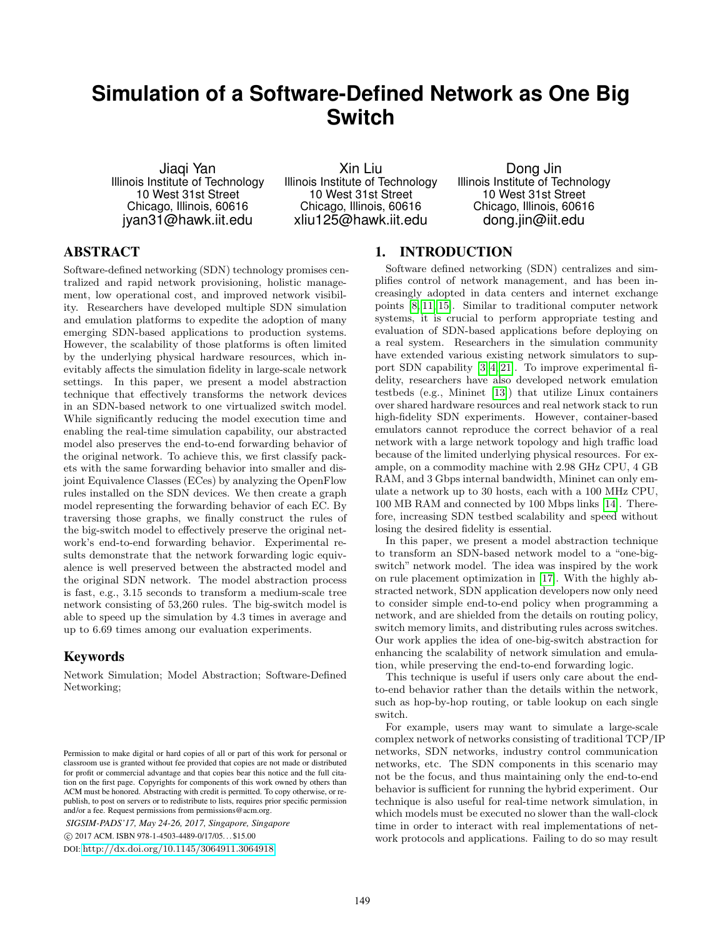# **Simulation of a Software-Defined Network as One Big Switch**

Jiaqi Yan Illinois Institute of Technology 10 West 31st Street Chicago, Illinois, 60616 jyan31@hawk.iit.edu

Xin Liu Illinois Institute of Technology 10 West 31st Street Chicago, Illinois, 60616 xliu125@hawk.iit.edu

Dong Jin Illinois Institute of Technology 10 West 31st Street Chicago, Illinois, 60616 dong.jin@iit.edu

## ABSTRACT

Software-defined networking (SDN) technology promises centralized and rapid network provisioning, holistic management, low operational cost, and improved network visibility. Researchers have developed multiple SDN simulation and emulation platforms to expedite the adoption of many emerging SDN-based applications to production systems. However, the scalability of those platforms is often limited by the underlying physical hardware resources, which inevitably affects the simulation fidelity in large-scale network settings. In this paper, we present a model abstraction technique that effectively transforms the network devices in an SDN-based network to one virtualized switch model. While significantly reducing the model execution time and enabling the real-time simulation capability, our abstracted model also preserves the end-to-end forwarding behavior of the original network. To achieve this, we first classify packets with the same forwarding behavior into smaller and disjoint Equivalence Classes (ECes) by analyzing the OpenFlow rules installed on the SDN devices. We then create a graph model representing the forwarding behavior of each EC. By traversing those graphs, we finally construct the rules of the big-switch model to effectively preserve the original network's end-to-end forwarding behavior. Experimental results demonstrate that the network forwarding logic equivalence is well preserved between the abstracted model and the original SDN network. The model abstraction process is fast, e.g., 3.15 seconds to transform a medium-scale tree network consisting of 53,260 rules. The big-switch model is able to speed up the simulation by 4.3 times in average and up to 6.69 times among our evaluation experiments.

## Keywords

Network Simulation; Model Abstraction; Software-Defined Networking;

*SIGSIM-PADS'17, May 24-26, 2017, Singapore, Singapore*

c 2017 ACM. ISBN 978-1-4503-4489-0/17/05. . . \$15.00

## 1. INTRODUCTION

Software defined networking (SDN) centralizes and simplifies control of network management, and has been increasingly adopted in data centers and internet exchange points [\[8,](#page-10-0) [11,](#page-10-1) [15\]](#page-10-2). Similar to traditional computer network systems, it is crucial to perform appropriate testing and evaluation of SDN-based applications before deploying on a real system. Researchers in the simulation community have extended various existing network simulators to support SDN capability [\[3,](#page-9-0) [4,](#page-9-1) [21\]](#page-10-3). To improve experimental fidelity, researchers have also developed network emulation testbeds (e.g., Mininet [\[13\]](#page-10-4)) that utilize Linux containers over shared hardware resources and real network stack to run high-fidelity SDN experiments. However, container-based emulators cannot reproduce the correct behavior of a real network with a large network topology and high traffic load because of the limited underlying physical resources. For example, on a commodity machine with 2.98 GHz CPU, 4 GB RAM, and 3 Gbps internal bandwidth, Mininet can only emulate a network up to 30 hosts, each with a 100 MHz CPU, 100 MB RAM and connected by 100 Mbps links [\[14\]](#page-10-5). Therefore, increasing SDN testbed scalability and speed without losing the desired fidelity is essential.

In this paper, we present a model abstraction technique to transform an SDN-based network model to a "one-bigswitch" network model. The idea was inspired by the work on rule placement optimization in [\[17\]](#page-10-6). With the highly abstracted network, SDN application developers now only need to consider simple end-to-end policy when programming a network, and are shielded from the details on routing policy, switch memory limits, and distributing rules across switches. Our work applies the idea of one-big-switch abstraction for enhancing the scalability of network simulation and emulation, while preserving the end-to-end forwarding logic.

This technique is useful if users only care about the endto-end behavior rather than the details within the network, such as hop-by-hop routing, or table lookup on each single switch.

For example, users may want to simulate a large-scale complex network of networks consisting of traditional TCP/IP networks, SDN networks, industry control communication networks, etc. The SDN components in this scenario may not be the focus, and thus maintaining only the end-to-end behavior is sufficient for running the hybrid experiment. Our technique is also useful for real-time network simulation, in which models must be executed no slower than the wall-clock time in order to interact with real implementations of network protocols and applications. Failing to do so may result

Permission to make digital or hard copies of all or part of this work for personal or classroom use is granted without fee provided that copies are not made or distributed for profit or commercial advantage and that copies bear this notice and the full citation on the first page. Copyrights for components of this work owned by others than ACM must be honored. Abstracting with credit is permitted. To copy otherwise, or republish, to post on servers or to redistribute to lists, requires prior specific permission and/or a fee. Request permissions from permissions@acm.org.

DOI: <http://dx.doi.org/10.1145/3064911.3064918>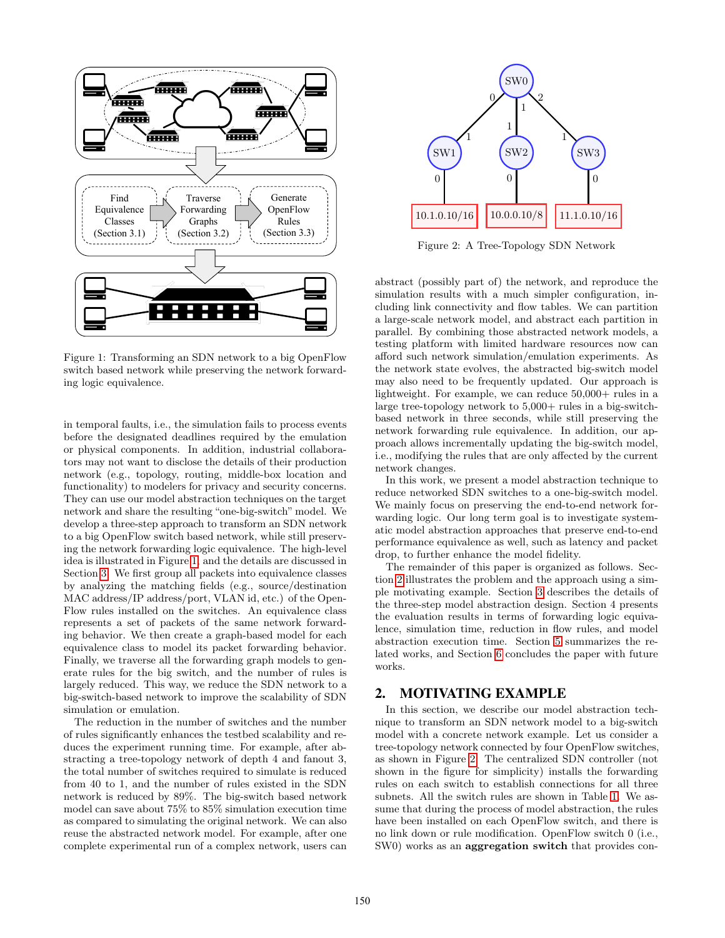<span id="page-1-0"></span>

Figure 1: Transforming an SDN network to a big OpenFlow switch based network while preserving the network forwarding logic equivalence.

in temporal faults, i.e., the simulation fails to process events before the designated deadlines required by the emulation or physical components. In addition, industrial collaborators may not want to disclose the details of their production network (e.g., topology, routing, middle-box location and functionality) to modelers for privacy and security concerns. They can use our model abstraction techniques on the target network and share the resulting "one-big-switch" model. We develop a three-step approach to transform an SDN network to a big OpenFlow switch based network, while still preserving the network forwarding logic equivalence. The high-level idea is illustrated in Figure [1,](#page-1-0) and the details are discussed in Section [3.](#page-2-0) We first group all packets into equivalence classes by analyzing the matching fields (e.g., source/destination MAC address/IP address/port, VLAN id, etc.) of the Open-Flow rules installed on the switches. An equivalence class represents a set of packets of the same network forwarding behavior. We then create a graph-based model for each equivalence class to model its packet forwarding behavior. Finally, we traverse all the forwarding graph models to generate rules for the big switch, and the number of rules is largely reduced. This way, we reduce the SDN network to a big-switch-based network to improve the scalability of SDN simulation or emulation.

The reduction in the number of switches and the number of rules significantly enhances the testbed scalability and reduces the experiment running time. For example, after abstracting a tree-topology network of depth 4 and fanout 3, the total number of switches required to simulate is reduced from 40 to 1, and the number of rules existed in the SDN network is reduced by 89%. The big-switch based network model can save about 75% to 85% simulation execution time as compared to simulating the original network. We can also reuse the abstracted network model. For example, after one complete experimental run of a complex network, users can

<span id="page-1-2"></span>

Figure 2: A Tree-Topology SDN Network

abstract (possibly part of) the network, and reproduce the simulation results with a much simpler configuration, including link connectivity and flow tables. We can partition a large-scale network model, and abstract each partition in parallel. By combining those abstracted network models, a testing platform with limited hardware resources now can afford such network simulation/emulation experiments. As the network state evolves, the abstracted big-switch model may also need to be frequently updated. Our approach is lightweight. For example, we can reduce  $50,000+$  rules in a large tree-topology network to  $5,000+$  rules in a big-switchbased network in three seconds, while still preserving the network forwarding rule equivalence. In addition, our approach allows incrementally updating the big-switch model, i.e., modifying the rules that are only affected by the current network changes.

In this work, we present a model abstraction technique to reduce networked SDN switches to a one-big-switch model. We mainly focus on preserving the end-to-end network forwarding logic. Our long term goal is to investigate systematic model abstraction approaches that preserve end-to-end performance equivalence as well, such as latency and packet drop, to further enhance the model fidelity.

The remainder of this paper is organized as follows. Section [2](#page-1-1) illustrates the problem and the approach using a simple motivating example. Section [3](#page-2-0) describes the details of the three-step model abstraction design. Section 4 presents the evaluation results in terms of forwarding logic equivalence, simulation time, reduction in flow rules, and model abstraction execution time. Section [5](#page-8-0) summarizes the related works, and Section [6](#page-9-2) concludes the paper with future works.

# <span id="page-1-1"></span>2. MOTIVATING EXAMPLE

In this section, we describe our model abstraction technique to transform an SDN network model to a big-switch model with a concrete network example. Let us consider a tree-topology network connected by four OpenFlow switches, as shown in Figure [2.](#page-1-2) The centralized SDN controller (not shown in the figure for simplicity) installs the forwarding rules on each switch to establish connections for all three subnets. All the switch rules are shown in Table [1.](#page-3-0) We assume that during the process of model abstraction, the rules have been installed on each OpenFlow switch, and there is no link down or rule modification. OpenFlow switch 0 (i.e., SW0) works as an **aggregation switch** that provides con-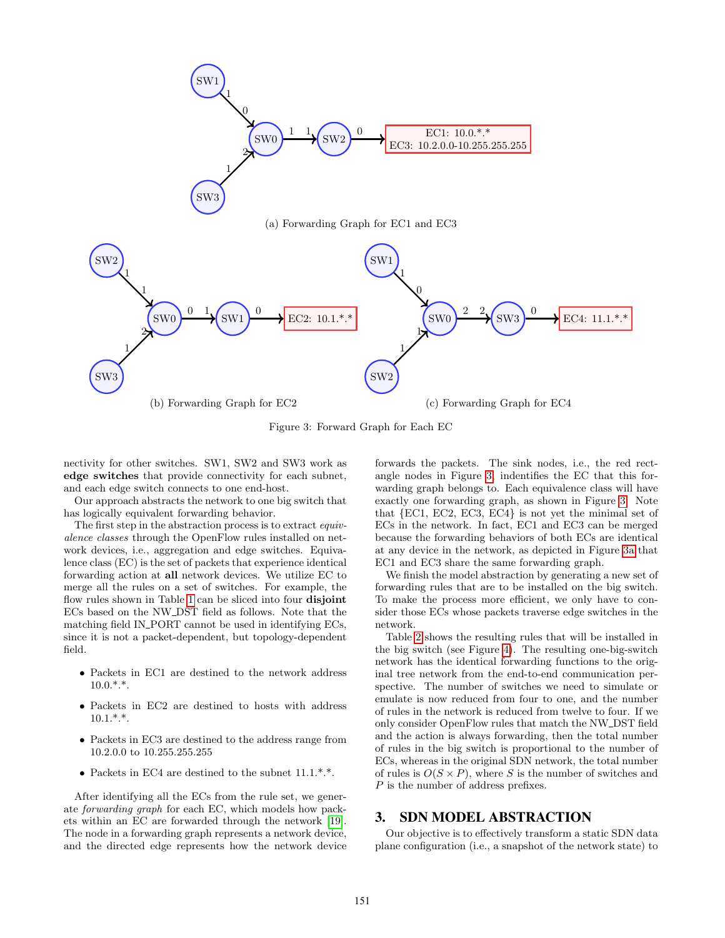<span id="page-2-2"></span><span id="page-2-1"></span>

Figure 3: Forward Graph for Each EC

nectivity for other switches. SW1, SW2 and SW3 work as edge switches that provide connectivity for each subnet, and each edge switch connects to one end-host.

Our approach abstracts the network to one big switch that has logically equivalent forwarding behavior.

The first step in the abstraction process is to extract *equiv*alence classes through the OpenFlow rules installed on network devices, i.e., aggregation and edge switches. Equivalence class (EC) is the set of packets that experience identical forwarding action at all network devices. We utilize EC to merge all the rules on a set of switches. For example, the flow rules shown in Table [1](#page-3-0) can be sliced into four disjoint ECs based on the NW DST field as follows. Note that the matching field IN PORT cannot be used in identifying ECs, since it is not a packet-dependent, but topology-dependent field.

- Packets in EC1 are destined to the network address  $10.0.*.*$ .
- Packets in EC2 are destined to hosts with address  $10.1.*.*$ .
- Packets in EC3 are destined to the address range from 10.2.0.0 to 10.255.255.255
- Packets in EC4 are destined to the subnet  $11.1.*.*$ .

After identifying all the ECs from the rule set, we generate forwarding graph for each EC, which models how packets within an EC are forwarded through the network [\[19\]](#page-10-7). The node in a forwarding graph represents a network device, and the directed edge represents how the network device forwards the packets. The sink nodes, i.e., the red rectangle nodes in Figure [3,](#page-2-1) indentifies the EC that this forwarding graph belongs to. Each equivalence class will have exactly one forwarding graph, as shown in Figure [3.](#page-2-1) Note that {EC1, EC2, EC3, EC4} is not yet the minimal set of ECs in the network. In fact, EC1 and EC3 can be merged because the forwarding behaviors of both ECs are identical at any device in the network, as depicted in Figure [3a](#page-2-2) that EC1 and EC3 share the same forwarding graph.

We finish the model abstraction by generating a new set of forwarding rules that are to be installed on the big switch. To make the process more efficient, we only have to consider those ECs whose packets traverse edge switches in the network.

Table [2](#page-3-1) shows the resulting rules that will be installed in the big switch (see Figure [4\)](#page-3-2). The resulting one-big-switch network has the identical forwarding functions to the original tree network from the end-to-end communication perspective. The number of switches we need to simulate or emulate is now reduced from four to one, and the number of rules in the network is reduced from twelve to four. If we only consider OpenFlow rules that match the NW DST field and the action is always forwarding, then the total number of rules in the big switch is proportional to the number of ECs, whereas in the original SDN network, the total number of rules is  $O(S \times P)$ , where S is the number of switches and P is the number of address prefixes.

## <span id="page-2-0"></span>3. SDN MODEL ABSTRACTION

Our objective is to effectively transform a static SDN data plane configuration (i.e., a snapshot of the network state) to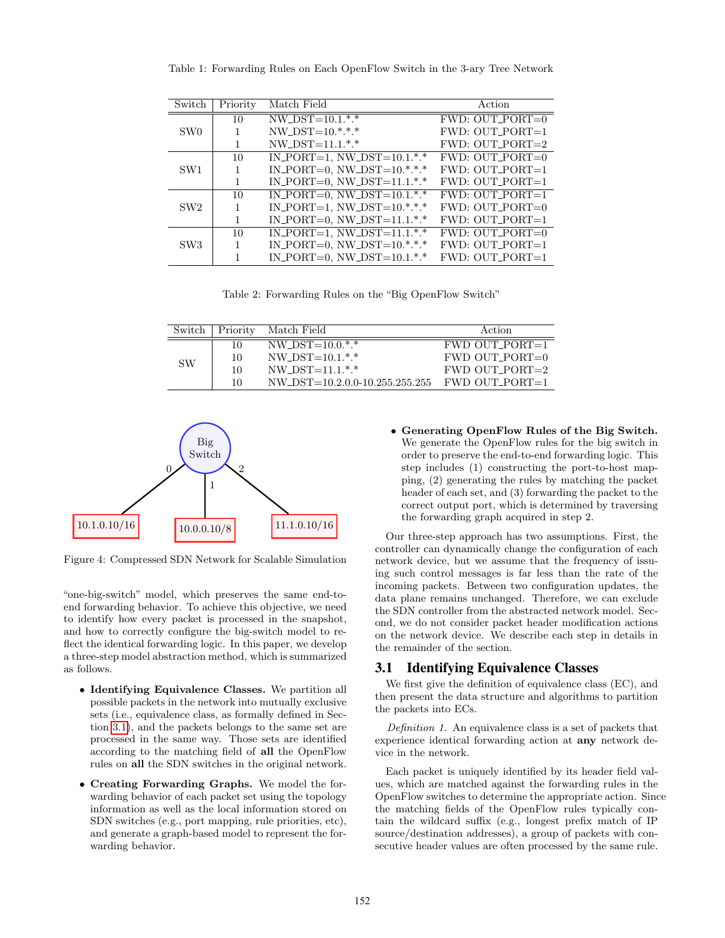| Switch          | Priority | Match Field                       | Action               |
|-----------------|----------|-----------------------------------|----------------------|
|                 | 10       | $NW\_DST=10.1.*.*$                | $FWD: OUT\_PORT=0$   |
| SW <sub>0</sub> | 1        | $NW_DST=10.*.*.*$                 | $FWD: OUT\_PORT=1$   |
|                 |          | $NW_DST=11.1.*.*$                 | $FWD: OUT\_PORT = 2$ |
| SW <sub>1</sub> | 10       | $IN\_PORT=1$ , $NW\_DST=10.1.*.*$ | $FWD: OUT\_PORT=0$   |
|                 | 1        | IN_PORT=0, NW_DST= $10.*.*.*$     | $FWD: OUT\_PORT=1$   |
|                 |          | IN_PORT=0, NW_DST= $11.1.*.*$     | $FWD: OUT\_PORT=1$   |
| SW <sub>2</sub> | 10       | $IN\_PORT=0$ , $NW\_DST=10.1.*.*$ | $FWD: OUT\_PORT=1$   |
|                 |          | $IN\_PORT=1$ , $NW\_DST=10.*.*.*$ | $FWD: OUT\_PORT=0$   |
|                 |          | IN_PORT=0, NW_DST= $11.1.*.*$     | $FWD: OUT\_PORT=1$   |
| SW <sub>3</sub> | 10       | $IN\_PORT=1, NW\_DST=11.1.*.*$    | $FWD: OUT\_PORT=0$   |
|                 |          | IN_PORT=0, NW_DST= $10.*.*.*$     | $FWD: OUT\_PORT=1$   |
|                 |          | IN_PORT=0, NW_DST= $10.1.*.*$     | $FWD: OUT\_PORT=1$   |

<span id="page-3-0"></span>Table 1: Forwarding Rules on Each OpenFlow Switch in the 3-ary Tree Network

Table 2: Forwarding Rules on the "Big OpenFlow Switch"

<span id="page-3-1"></span>

|           | Switch   Priority | Match Field                           | Action           |
|-----------|-------------------|---------------------------------------|------------------|
|           | 10                | NW DST= $10.0.*.*$                    | $FWD$ OUT PORT=1 |
| <b>SW</b> | 10                | $NW\_DST=10.1.*.*$                    | $FWD$ OUT PORT=0 |
|           | 10                | NW DST= $11.1.*.*$                    | $FWD$ OUT PORT=2 |
|           | 10                | $NW\_DST = 10.2.0.0 - 10.255.255.255$ | FWD OUT_PORT=1   |

<span id="page-3-2"></span>

Figure 4: Compressed SDN Network for Scalable Simulation

"one-big-switch" model, which preserves the same end-toend forwarding behavior. To achieve this objective, we need to identify how every packet is processed in the snapshot, and how to correctly configure the big-switch model to reflect the identical forwarding logic. In this paper, we develop a three-step model abstraction method, which is summarized as follows.

- Identifying Equivalence Classes. We partition all possible packets in the network into mutually exclusive sets (i.e., equivalence class, as formally defined in Section [3.1\)](#page-3-3), and the packets belongs to the same set are processed in the same way. Those sets are identified according to the matching field of all the OpenFlow rules on all the SDN switches in the original network.
- Creating Forwarding Graphs. We model the forwarding behavior of each packet set using the topology information as well as the local information stored on SDN switches (e.g., port mapping, rule priorities, etc), and generate a graph-based model to represent the forwarding behavior.

• Generating OpenFlow Rules of the Big Switch. We generate the OpenFlow rules for the big switch in order to preserve the end-to-end forwarding logic. This step includes (1) constructing the port-to-host mapping, (2) generating the rules by matching the packet header of each set, and (3) forwarding the packet to the correct output port, which is determined by traversing the forwarding graph acquired in step 2.

Our three-step approach has two assumptions. First, the controller can dynamically change the configuration of each network device, but we assume that the frequency of issuing such control messages is far less than the rate of the incoming packets. Between two configuration updates, the data plane remains unchanged. Therefore, we can exclude the SDN controller from the abstracted network model. Second, we do not consider packet header modification actions on the network device. We describe each step in details in the remainder of the section.

#### <span id="page-3-3"></span>3.1 Identifying Equivalence Classes

We first give the definition of equivalence class (EC), and then present the data structure and algorithms to partition the packets into ECs.

Definition 1. An equivalence class is a set of packets that experience identical forwarding action at any network device in the network.

Each packet is uniquely identified by its header field values, which are matched against the forwarding rules in the OpenFlow switches to determine the appropriate action. Since the matching fields of the OpenFlow rules typically contain the wildcard suffix (e.g., longest prefix match of IP source/destination addresses), a group of packets with consecutive header values are often processed by the same rule.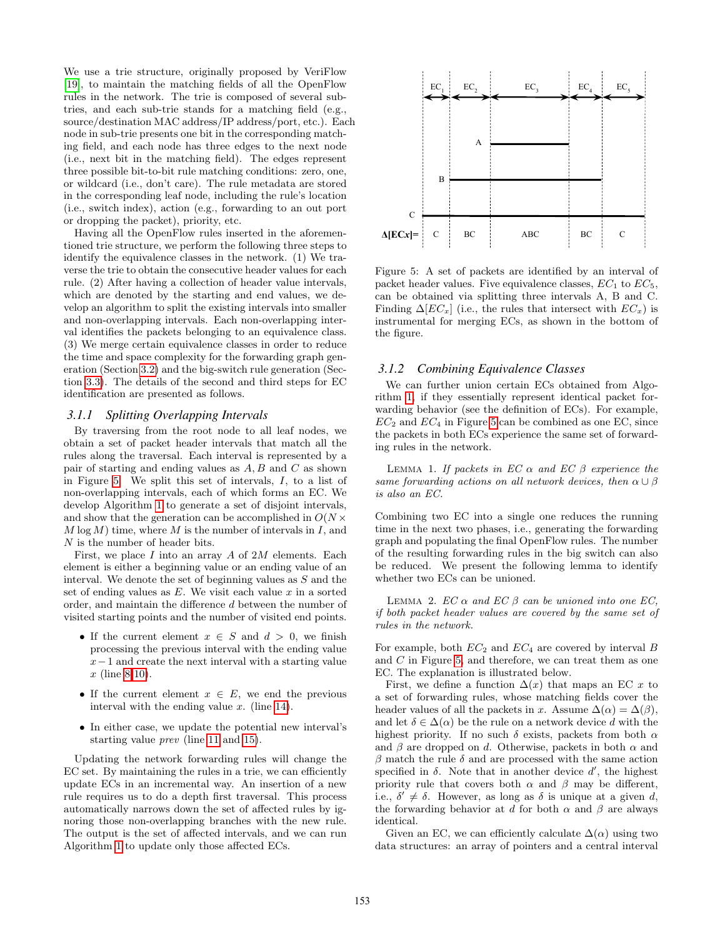We use a trie structure, originally proposed by VeriFlow [\[19\]](#page-10-7), to maintain the matching fields of all the OpenFlow rules in the network. The trie is composed of several subtries, and each sub-trie stands for a matching field (e.g., source/destination MAC address/IP address/port, etc.). Each node in sub-trie presents one bit in the corresponding matching field, and each node has three edges to the next node (i.e., next bit in the matching field). The edges represent three possible bit-to-bit rule matching conditions: zero, one, or wildcard (i.e., don't care). The rule metadata are stored in the corresponding leaf node, including the rule's location (i.e., switch index), action (e.g., forwarding to an out port or dropping the packet), priority, etc.

Having all the OpenFlow rules inserted in the aforementioned trie structure, we perform the following three steps to identify the equivalence classes in the network. (1) We traverse the trie to obtain the consecutive header values for each rule. (2) After having a collection of header value intervals, which are denoted by the starting and end values, we develop an algorithm to split the existing intervals into smaller and non-overlapping intervals. Each non-overlapping interval identifies the packets belonging to an equivalence class. (3) We merge certain equivalence classes in order to reduce the time and space complexity for the forwarding graph generation (Section [3.2\)](#page-5-0) and the big-switch rule generation (Section [3.3\)](#page-7-0). The details of the second and third steps for EC identification are presented as follows.

#### *3.1.1 Splitting Overlapping Intervals*

By traversing from the root node to all leaf nodes, we obtain a set of packet header intervals that match all the rules along the traversal. Each interval is represented by a pair of starting and ending values as  $A, B$  and  $C$  as shown in Figure [5.](#page-4-0) We split this set of intervals, I, to a list of non-overlapping intervals, each of which forms an EC. We develop Algorithm [1](#page-5-1) to generate a set of disjoint intervals, and show that the generation can be accomplished in  $O(N \times$  $M \log M$ ) time, where M is the number of intervals in I, and N is the number of header bits.

First, we place  $I$  into an array  $A$  of  $2M$  elements. Each element is either a beginning value or an ending value of an interval. We denote the set of beginning values as  $S$  and the set of ending values as  $E$ . We visit each value  $x$  in a sorted order, and maintain the difference d between the number of visited starting points and the number of visited end points.

- If the current element  $x \in S$  and  $d > 0$ , we finish processing the previous interval with the ending value  $x-1$  and create the next interval with a starting value  $x$  (line [8](#page-5-2)[-10\)](#page-5-3).
- If the current element  $x \in E$ , we end the previous interval with the ending value  $x$ . (line [14\)](#page-5-4).
- In either case, we update the potential new interval's starting value prev (line [11](#page-5-5) and [15\)](#page-5-6).

Updating the network forwarding rules will change the EC set. By maintaining the rules in a trie, we can efficiently update ECs in an incremental way. An insertion of a new rule requires us to do a depth first traversal. This process automatically narrows down the set of affected rules by ignoring those non-overlapping branches with the new rule. The output is the set of affected intervals, and we can run Algorithm [1](#page-5-1) to update only those affected ECs.

<span id="page-4-0"></span>

Figure 5: A set of packets are identified by an interval of packet header values. Five equivalence classes,  $EC_1$  to  $EC_5$ , can be obtained via splitting three intervals A, B and C. Finding  $\Delta |EC_x|$  (i.e., the rules that intersect with  $EC_x$ ) is instrumental for merging ECs, as shown in the bottom of the figure.

## *3.1.2 Combining Equivalence Classes*

We can further union certain ECs obtained from Algorithm [1,](#page-5-1) if they essentially represent identical packet forwarding behavior (see the definition of ECs). For example,  $EC_2$  and  $EC_4$  in Figure [5](#page-4-0) can be combined as one EC, since the packets in both ECs experience the same set of forwarding rules in the network.

LEMMA 1. If packets in  $EC \alpha$  and  $EC \beta$  experience the same forwarding actions on all network devices, then  $\alpha \cup \beta$ is also an EC.

Combining two EC into a single one reduces the running time in the next two phases, i.e., generating the forwarding graph and populating the final OpenFlow rules. The number of the resulting forwarding rules in the big switch can also be reduced. We present the following lemma to identify whether two ECs can be unioned.

LEMMA 2.  $EC \alpha$  and  $EC \beta$  can be unioned into one EC, if both packet header values are covered by the same set of rules in the network.

For example, both  $EC_2$  and  $EC_4$  are covered by interval  $B$ and C in Figure [5,](#page-4-0) and therefore, we can treat them as one EC. The explanation is illustrated below.

First, we define a function  $\Delta(x)$  that maps an EC x to a set of forwarding rules, whose matching fields cover the header values of all the packets in x. Assume  $\Delta(\alpha) = \Delta(\beta)$ , and let  $\delta \in \Delta(\alpha)$  be the rule on a network device d with the highest priority. If no such  $\delta$  exists, packets from both  $\alpha$ and  $\beta$  are dropped on d. Otherwise, packets in both  $\alpha$  and β match the rule δ and are processed with the same action specified in  $\delta$ . Note that in another device  $d'$ , the highest priority rule that covers both  $\alpha$  and  $\beta$  may be different, i.e.,  $\delta' \neq \delta$ . However, as long as  $\delta$  is unique at a given d, the forwarding behavior at d for both  $\alpha$  and  $\beta$  are always identical.

Given an EC, we can efficiently calculate  $\Delta(\alpha)$  using two data structures: an array of pointers and a central interval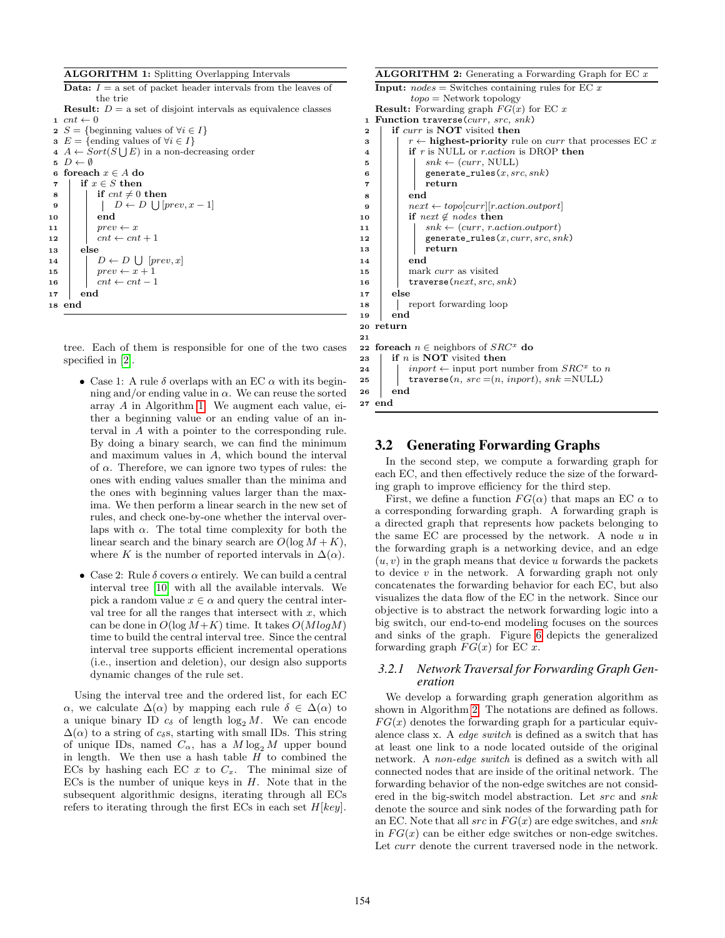|  | <b>ALGORITHM 1:</b> Splitting Overlapping Intervals |  |  |  |  |
|--|-----------------------------------------------------|--|--|--|--|
|--|-----------------------------------------------------|--|--|--|--|

<span id="page-5-3"></span><span id="page-5-2"></span>

|                | <b>Data:</b> $I =$ a set of packet header intervals from the leaves of  |
|----------------|-------------------------------------------------------------------------|
|                | the trie                                                                |
|                | <b>Result:</b> $D = a$ set of disjoint intervals as equivalence classes |
|                | $1 \ncnt \leftarrow 0$                                                  |
|                | 2 $S = \{\text{beginning values of } \forall i \in I\}$                 |
|                | <b>3</b> $E = \{$ ending values of $\forall i \in I$                    |
|                | $A \leftarrow Sort(S \cup E)$ in a non-decreasing order                 |
|                | $\mathfrak{s} \nightharpoonup D \leftarrow \emptyset$                   |
| 6              | foreach $x \in A$ do                                                    |
| $\overline{7}$ | if $x \in S$ then                                                       |
| 8              | if $cnt \neq 0$ then                                                    |
| $\bf{9}$       | $\vert D \leftarrow D \vert \vert [prev, x-1] \vert$                    |
| 10             | end                                                                     |
| 11             | $prev \leftarrow x$                                                     |
| 12             | $cnt \leftarrow cnt + 1$                                                |
| 13             | else                                                                    |
| 14             | $D \leftarrow D \cup [prev, x]$                                         |
| 15             | $prev \leftarrow x + 1$                                                 |
| 16             | $cnt \leftarrow cnt - 1$                                                |
| 17             | end                                                                     |
|                | 18 end                                                                  |
|                |                                                                         |

<span id="page-5-6"></span><span id="page-5-5"></span><span id="page-5-4"></span><span id="page-5-1"></span>tree. Each of them is responsible for one of the two cases specified in [\[2\]](#page-9-3).

- Case 1: A rule  $\delta$  overlaps with an EC  $\alpha$  with its beginning and/or ending value in  $\alpha$ . We can reuse the sorted array A in Algorithm [1.](#page-5-1) We augment each value, either a beginning value or an ending value of an interval in A with a pointer to the corresponding rule. By doing a binary search, we can find the minimum and maximum values in A, which bound the interval of  $\alpha$ . Therefore, we can ignore two types of rules: the ones with ending values smaller than the minima and the ones with beginning values larger than the maxima. We then perform a linear search in the new set of rules, and check one-by-one whether the interval overlaps with  $\alpha$ . The total time complexity for both the linear search and the binary search are  $O(\log M + K)$ , where K is the number of reported intervals in  $\Delta(\alpha)$ .
- Case 2: Rule  $\delta$  covers  $\alpha$  entirely. We can build a central interval tree [\[10\]](#page-10-8) with all the available intervals. We pick a random value  $x \in \alpha$  and query the central interval tree for all the ranges that intersect with  $x$ , which can be done in  $O(\log M + K)$  time. It takes  $O(M \log M)$ time to build the central interval tree. Since the central interval tree supports efficient incremental operations (i.e., insertion and deletion), our design also supports dynamic changes of the rule set.

Using the interval tree and the ordered list, for each EC  $\alpha$ , we calculate  $\Delta(\alpha)$  by mapping each rule  $\delta \in \Delta(\alpha)$  to a unique binary ID  $c_{\delta}$  of length  $\log_2 M$ . We can encode  $\Delta(\alpha)$  to a string of c<sub>δ</sub>s, starting with small IDs. This string of unique IDs, named  $C_{\alpha}$ , has a  $M \log_2 M$  upper bound in length. We then use a hash table  $H$  to combined the ECs by hashing each EC  $x$  to  $C_x$ . The minimal size of ECs is the number of unique keys in  $H$ . Note that in the subsequent algorithmic designs, iterating through all ECs refers to iterating through the first ECs in each set  $H[key]$ .

#### **ALGORITHM 2:** Generating a Forwarding Graph for EC  $x$

```
Input: nodes = Switches containing rules for EC xtopo = Network topology
   Result: Forwarding graph FG(x) for EC x
 1 Function traverse(curr, src, snk)
 2 | if curr is NOT visited then
 3 \vert \vert r \leftarrow highest-priority rule on curr that processes EC x
 4 if r is NULL or r.action is DROP then
 \mathbf{5} | | snk \leftarrow (curr, NULL)6 | | generate_rules(x, src, snk)
 7 | | return
 8 end
 9 next \leftarrow topo[curr][r.action.outport]10 if next \notin nodes then
11 | snk \leftarrow (curr, r.action.outport)12 generate_rules(x, curr, src, snk)
13 | return
14 | end
15 mark curr as visited
16 traverse(next, src, snk)
17 else
18 | report forwarding loop
19 end
20 return
21
22 foreach n \in neighbors of SRC^x do
23 \parallel if n is NOT visited then
24 inport \leftarrow input port number from SRC^x to n
25 traverse(n, src = (n, import), snk = NULL)26 end
```
## <span id="page-5-0"></span>3.2 Generating Forwarding Graphs

In the second step, we compute a forwarding graph for each EC, and then effectively reduce the size of the forwarding graph to improve efficiency for the third step.

First, we define a function  $FG(\alpha)$  that maps an EC  $\alpha$  to a corresponding forwarding graph. A forwarding graph is a directed graph that represents how packets belonging to the same EC are processed by the network. A node  $u$  in the forwarding graph is a networking device, and an edge  $(u, v)$  in the graph means that device u forwards the packets to device  $v$  in the network. A forwarding graph not only concatenates the forwarding behavior for each EC, but also visualizes the data flow of the EC in the network. Since our objective is to abstract the network forwarding logic into a big switch, our end-to-end modeling focuses on the sources and sinks of the graph. Figure [6](#page-6-0) depicts the generalized forwarding graph  $FG(x)$  for EC x.

### *3.2.1 Network Traversal for Forwarding Graph Generation*

We develop a forwarding graph generation algorithm as shown in Algorithm [2.](#page-5-7) The notations are defined as follows.  $FG(x)$  denotes the forwarding graph for a particular equivalence class x. A edge switch is defined as a switch that has at least one link to a node located outside of the original network. A non-edge switch is defined as a switch with all connected nodes that are inside of the oritinal network. The forwarding behavior of the non-edge switches are not considered in the big-switch model abstraction. Let src and snk denote the source and sink nodes of the forwarding path for an EC. Note that all  $src$  in  $FG(x)$  are edge switches, and  $snk$ in  $FG(x)$  can be either edge switches or non-edge switches. Let *curr* denote the current traversed node in the network.

<span id="page-5-14"></span><span id="page-5-11"></span><span id="page-5-9"></span><span id="page-5-8"></span><span id="page-5-7"></span><sup>27</sup> end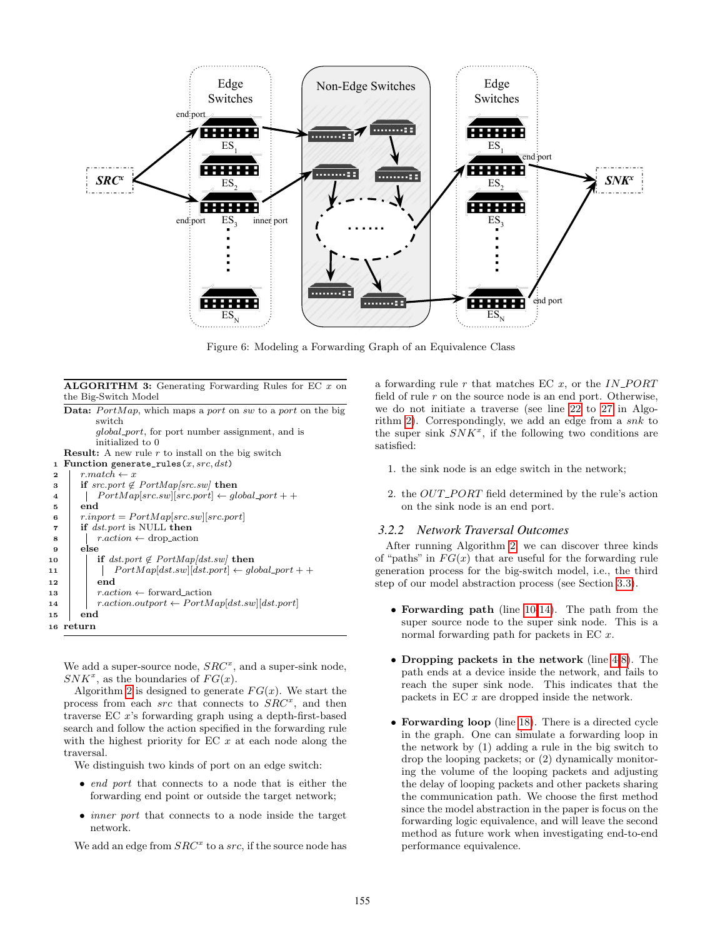<span id="page-6-0"></span>

Figure 6: Modeling a Forwarding Graph of an Equivalence Class

#### ALGORITHM 3: Generating Forwarding Rules for EC  $x$  on the Big-Switch Model

<span id="page-6-4"></span><span id="page-6-3"></span><span id="page-6-2"></span>

|                | <b>Data:</b> PortMap, which maps a port on sw to a port on the big |
|----------------|--------------------------------------------------------------------|
|                | switch                                                             |
|                | <i>global_port</i> , for port number assignment, and is            |
|                | initialized to 0                                                   |
|                | <b>Result:</b> A new rule $r$ to install on the big switch         |
| 1              | Function generate_rules $(x, src, dst)$                            |
| $\mathbf{2}$   | $r-match \leftarrow x$                                             |
| 3              | if $src.port \notin PortMap src_sw $ then                          |
| 4              | $PortMap[src.sw][src.port] \leftarrow global\_port + +$            |
| 5              | end                                                                |
| 6              | $r import = PortMap src sw  srcport $                              |
| $\overline{7}$ | if <i>dst.port</i> is NULL then                                    |
| 8              | $r. action \leftarrow drop\_action$                                |
| 9              | else                                                               |
| 10             | if $dst.port \notin PortMap/dst.sub$ then                          |
| 11             | $PortMap[dst.sub][dst.port] \leftarrow global\_port + +$           |
| 12             | end                                                                |
| 13             | $r. action \leftarrow forward\_action$                             |
| 14             | $r. action.outport \leftarrow PortMap[dst.sub][dst.port]$          |
| 15             | end                                                                |
|                | 16 return                                                          |
|                |                                                                    |

<span id="page-6-6"></span><span id="page-6-5"></span><span id="page-6-1"></span>We add a super-source node,  $SRC<sup>x</sup>$ , and a super-sink node,  $SNK^x$ , as the boundaries of  $FG(x)$ .

Algorithm [2](#page-5-7) is designed to generate  $FG(x)$ . We start the process from each src that connects to  $\hat{S}RC^x$ , and then traverse EC x's forwarding graph using a depth-first-based search and follow the action specified in the forwarding rule with the highest priority for EC  $x$  at each node along the traversal.

We distinguish two kinds of port on an edge switch:

- end port that connects to a node that is either the forwarding end point or outside the target network;
- *inner port* that connects to a node inside the target network.

We add an edge from  $SRC^x$  to a  $src$ , if the source node has

a forwarding rule  $r$  that matches EC  $x$ , or the  $IN\_PORT$ field of rule  $r$  on the source node is an end port. Otherwise, we do not initiate a traverse (see line [22](#page-5-8) to [27](#page-5-9) in Algo-rithm [2\)](#page-5-7). Correspondingly, we add an edge from a  $snk$  to the super sink  $SNK^x$ , if the following two conditions are satisfied:

- 1. the sink node is an edge switch in the network;
- 2. the  $OUT\_PORT$  field determined by the rule's action on the sink node is an end port.

#### *3.2.2 Network Traversal Outcomes*

After running Algorithm [2,](#page-5-7) we can discover three kinds of "paths" in  $FG(x)$  that are useful for the forwarding rule generation process for the big-switch model, i.e., the third step of our model abstraction process (see Section [3.3\)](#page-7-0).

- Forwarding path (line [10-](#page-5-10)[14\)](#page-5-11). The path from the super source node to the super sink node. This is a normal forwarding path for packets in EC x.
- Dropping packets in the network (line [4-](#page-5-12)[8\)](#page-5-13). The path ends at a device inside the network, and fails to reach the super sink node. This indicates that the packets in EC x are dropped inside the network.
- Forwarding loop (line [18\)](#page-5-14). There is a directed cycle in the graph. One can simulate a forwarding loop in the network by (1) adding a rule in the big switch to drop the looping packets; or (2) dynamically monitoring the volume of the looping packets and adjusting the delay of looping packets and other packets sharing the communication path. We choose the first method since the model abstraction in the paper is focus on the forwarding logic equivalence, and will leave the second method as future work when investigating end-to-end performance equivalence.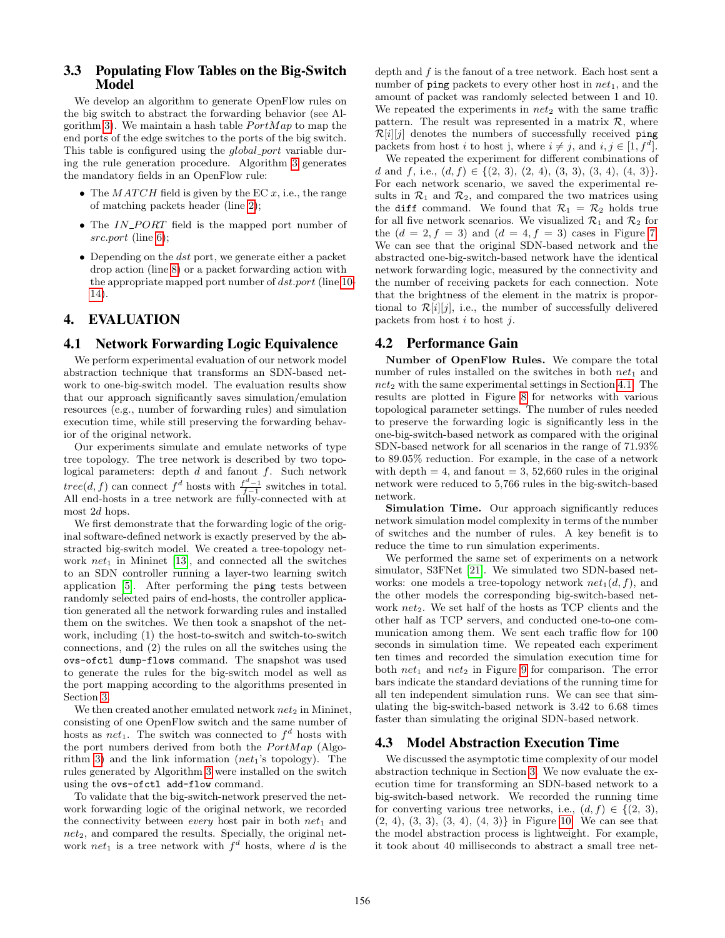## <span id="page-7-0"></span>3.3 Populating Flow Tables on the Big-Switch Model

We develop an algorithm to generate OpenFlow rules on the big switch to abstract the forwarding behavior (see Al-gorithm [3\)](#page-6-1). We maintain a hash table  $PortMap$  to map the end ports of the edge switches to the ports of the big switch. This table is configured using the *global\_port* variable during the rule generation procedure. Algorithm [3](#page-6-1) generates the mandatory fields in an OpenFlow rule:

- The  $MATCH$  field is given by the EC  $x$ , i.e., the range of matching packets header (line [2\)](#page-6-2);
- The  $IN\_PORT$  field is the mapped port number of src.port (line [6\)](#page-6-3);
- Depending on the  $dst$  port, we generate either a packet drop action (line [8\)](#page-6-4) or a packet forwarding action with the appropriate mapped port number of dst.port (line [10-](#page-6-5) [14\)](#page-6-6).

# 4. EVALUATION

## <span id="page-7-1"></span>4.1 Network Forwarding Logic Equivalence

We perform experimental evaluation of our network model abstraction technique that transforms an SDN-based network to one-big-switch model. The evaluation results show that our approach significantly saves simulation/emulation resources (e.g., number of forwarding rules) and simulation execution time, while still preserving the forwarding behavior of the original network.

Our experiments simulate and emulate networks of type tree topology. The tree network is described by two topological parameters: depth  $d$  and fanout  $f$ . Such network  $tree(d, f)$  can connect  $f^d$  hosts with  $\frac{f^d-1}{f-1}$  switches in total. All end-hosts in a tree network are fully-connected with at most 2d hops.

We first demonstrate that the forwarding logic of the original software-defined network is exactly preserved by the abstracted big-switch model. We created a tree-topology network  $net_1$  in Mininet [\[13\]](#page-10-4), and connected all the switches to an SDN controller running a layer-two learning switch application [\[5\]](#page-9-4). After performing the ping tests between randomly selected pairs of end-hosts, the controller application generated all the network forwarding rules and installed them on the switches. We then took a snapshot of the network, including (1) the host-to-switch and switch-to-switch connections, and (2) the rules on all the switches using the ovs-ofctl dump-flows command. The snapshot was used to generate the rules for the big-switch model as well as the port mapping according to the algorithms presented in Section [3.](#page-2-0)

We then created another emulated network  $net_2$  in Mininet, consisting of one OpenFlow switch and the same number of hosts as *net*<sub>1</sub>. The switch was connected to  $f^d$  hosts with the port numbers derived from both the  $PortMap$  (Algo-rithm [3\)](#page-6-1) and the link information  $(net<sub>1</sub>'s topology)$ . The rules generated by Algorithm [3](#page-6-1) were installed on the switch using the ovs-ofctl add-flow command.

To validate that the big-switch-network preserved the network forwarding logic of the original network, we recorded the connectivity between *every* host pair in both  $net_1$  and  $net_2$ , and compared the results. Specially, the original network net<sub>1</sub> is a tree network with  $f^d$  hosts, where d is the

depth and f is the fanout of a tree network. Each host sent a number of ping packets to every other host in  $net_1$ , and the amount of packet was randomly selected between 1 and 10. We repeated the experiments in  $net_2$  with the same traffic pattern. The result was represented in a matrix  $\mathcal{R}$ , where  $\mathcal{R}[i][j]$  denotes the numbers of successfully received ping packets from host i to host j, where  $i \neq j$ , and  $i, j \in [1, f^d]$ .

We repeated the experiment for different combinations of d and f, i.e.,  $(d, f) \in \{(2, 3), (2, 4), (3, 3), (3, 4), (4, 3)\}.$ For each network scenario, we saved the experimental results in  $\mathcal{R}_1$  and  $\mathcal{R}_2$ , and compared the two matrices using the diff command. We found that  $\mathcal{R}_1 = \mathcal{R}_2$  holds true for all five network scenarios. We visualized  $\mathcal{R}_1$  and  $\mathcal{R}_2$  for the  $(d = 2, f = 3)$  and  $(d = 4, f = 3)$  cases in Figure [7.](#page-8-1) We can see that the original SDN-based network and the abstracted one-big-switch-based network have the identical network forwarding logic, measured by the connectivity and the number of receiving packets for each connection. Note that the brightness of the element in the matrix is proportional to  $\mathcal{R}[i][j]$ , i.e., the number of successfully delivered packets from host  $i$  to host  $j$ .

## 4.2 Performance Gain

Number of OpenFlow Rules. We compare the total number of rules installed on the switches in both  $net_1$  and  $net_2$  with the same experimental settings in Section [4.1.](#page-7-1) The results are plotted in Figure [8](#page-9-5) for networks with various topological parameter settings. The number of rules needed to preserve the forwarding logic is significantly less in the one-big-switch-based network as compared with the original SDN-based network for all scenarios in the range of 71.93% to 89.05% reduction. For example, in the case of a network with depth  $= 4$ , and fanout  $= 3, 52,660$  rules in the original network were reduced to 5,766 rules in the big-switch-based network.

Simulation Time. Our approach significantly reduces network simulation model complexity in terms of the number of switches and the number of rules. A key benefit is to reduce the time to run simulation experiments.

We performed the same set of experiments on a network simulator, S3FNet [\[21\]](#page-10-3). We simulated two SDN-based networks: one models a tree-topology network  $net_1(d, f)$ , and the other models the corresponding big-switch-based network  $net_2$ . We set half of the hosts as TCP clients and the other half as TCP servers, and conducted one-to-one communication among them. We sent each traffic flow for 100 seconds in simulation time. We repeated each experiment ten times and recorded the simulation execution time for both  $net_1$  and  $net_2$  in Figure [9](#page-9-6) for comparison. The error bars indicate the standard deviations of the running time for all ten independent simulation runs. We can see that simulating the big-switch-based network is 3.42 to 6.68 times faster than simulating the original SDN-based network.

## 4.3 Model Abstraction Execution Time

We discussed the asymptotic time complexity of our model abstraction technique in Section [3.](#page-2-0) We now evaluate the execution time for transforming an SDN-based network to a big-switch-based network. We recorded the running time for converting various tree networks, i.e.,  $(d, f) \in \{(2, 3),$  $(2, 4), (3, 3), (3, 4), (4, 3)$  in Figure [10.](#page-10-9) We can see that the model abstraction process is lightweight. For example, it took about 40 milliseconds to abstract a small tree net-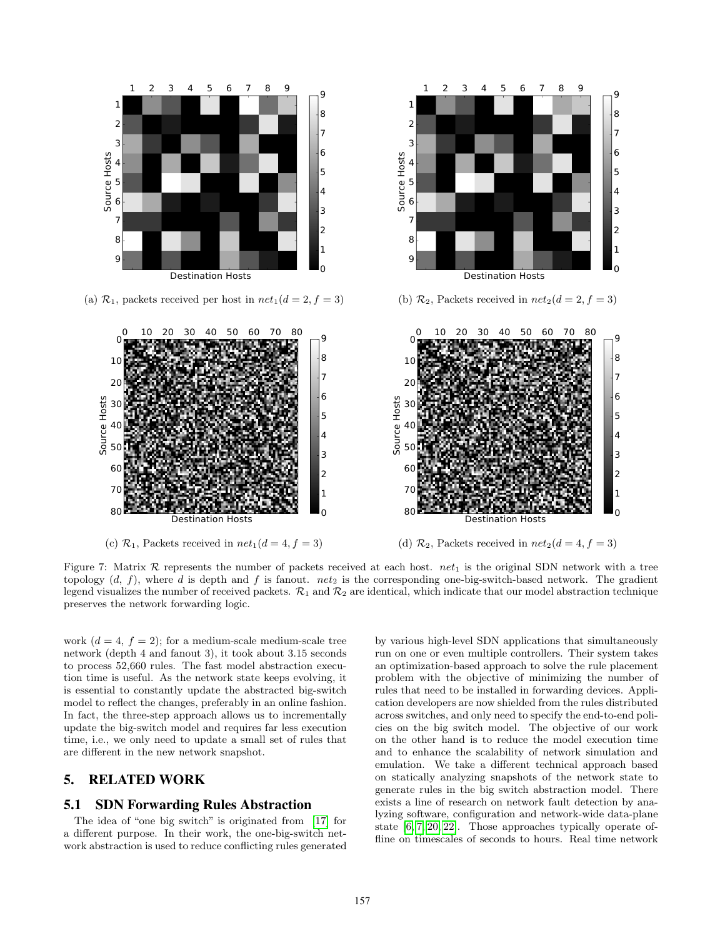<span id="page-8-1"></span>

Figure 7: Matrix  $R$  represents the number of packets received at each host. net<sub>1</sub> is the original SDN network with a tree topology  $(d, f)$ , where d is depth and f is fanout. net<sub>2</sub> is the corresponding one-big-switch-based network. The gradient legend visualizes the number of received packets.  $\mathcal{R}_1$  and  $\mathcal{R}_2$  are identical, which indicate that our model abstraction technique preserves the network forwarding logic.

work  $(d = 4, f = 2)$ ; for a medium-scale medium-scale tree network (depth 4 and fanout 3), it took about 3.15 seconds to process 52,660 rules. The fast model abstraction execution time is useful. As the network state keeps evolving, it is essential to constantly update the abstracted big-switch model to reflect the changes, preferably in an online fashion. In fact, the three-step approach allows us to incrementally update the big-switch model and requires far less execution time, i.e., we only need to update a small set of rules that are different in the new network snapshot.

## <span id="page-8-0"></span>5. RELATED WORK

### 5.1 SDN Forwarding Rules Abstraction

The idea of "one big switch" is originated from [\[17\]](#page-10-6) for a different purpose. In their work, the one-big-switch network abstraction is used to reduce conflicting rules generated by various high-level SDN applications that simultaneously run on one or even multiple controllers. Their system takes an optimization-based approach to solve the rule placement problem with the objective of minimizing the number of rules that need to be installed in forwarding devices. Application developers are now shielded from the rules distributed across switches, and only need to specify the end-to-end policies on the big switch model. The objective of our work on the other hand is to reduce the model execution time and to enhance the scalability of network simulation and emulation. We take a different technical approach based on statically analyzing snapshots of the network state to generate rules in the big switch abstraction model. There exists a line of research on network fault detection by analyzing software, configuration and network-wide data-plane state [\[6,](#page-9-7) [7,](#page-9-8) [20,](#page-10-10) [22\]](#page-10-11). Those approaches typically operate offline on timescales of seconds to hours. Real time network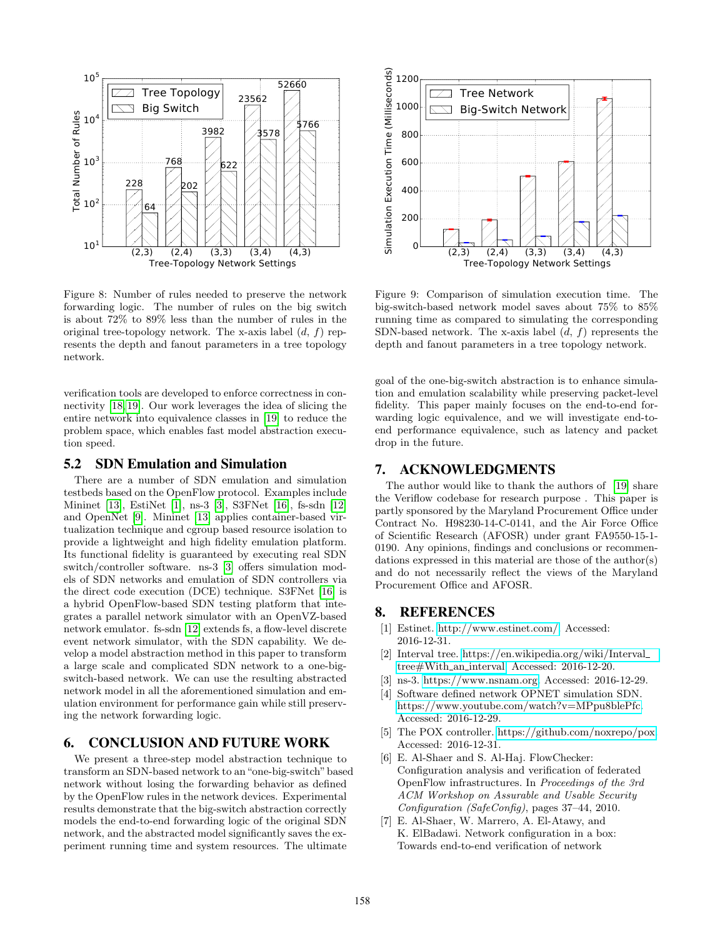<span id="page-9-5"></span>

Figure 8: Number of rules needed to preserve the network forwarding logic. The number of rules on the big switch is about 72% to 89% less than the number of rules in the original tree-topology network. The x-axis label  $(d, f)$  represents the depth and fanout parameters in a tree topology network.

verification tools are developed to enforce correctness in connectivity [\[18,](#page-10-12) [19\]](#page-10-7). Our work leverages the idea of slicing the entire network into equivalence classes in [\[19\]](#page-10-7) to reduce the problem space, which enables fast model abstraction execution speed.

## 5.2 SDN Emulation and Simulation

There are a number of SDN emulation and simulation testbeds based on the OpenFlow protocol. Examples include Mininet [\[13\]](#page-10-4), EstiNet [\[1\]](#page-9-9), ns-3 [\[3\]](#page-9-0), S3FNet [\[16\]](#page-10-13), fs-sdn [\[12\]](#page-10-14) and OpenNet [\[9\]](#page-10-15). Mininet [\[13\]](#page-10-4) applies container-based virtualization technique and cgroup based resource isolation to provide a lightweight and high fidelity emulation platform. Its functional fidelity is guaranteed by executing real SDN switch/controller software. ns-3 [\[3\]](#page-9-0) offers simulation models of SDN networks and emulation of SDN controllers via the direct code execution (DCE) technique. S3FNet [\[16\]](#page-10-13) is a hybrid OpenFlow-based SDN testing platform that integrates a parallel network simulator with an OpenVZ-based network emulator. fs-sdn [\[12\]](#page-10-14) extends fs, a flow-level discrete event network simulator, with the SDN capability. We develop a model abstraction method in this paper to transform a large scale and complicated SDN network to a one-bigswitch-based network. We can use the resulting abstracted network model in all the aforementioned simulation and emulation environment for performance gain while still preserving the network forwarding logic.

## <span id="page-9-2"></span>6. CONCLUSION AND FUTURE WORK

We present a three-step model abstraction technique to transform an SDN-based network to an"one-big-switch"based network without losing the forwarding behavior as defined by the OpenFlow rules in the network devices. Experimental results demonstrate that the big-switch abstraction correctly models the end-to-end forwarding logic of the original SDN network, and the abstracted model significantly saves the experiment running time and system resources. The ultimate

<span id="page-9-6"></span>

Figure 9: Comparison of simulation execution time. The big-switch-based network model saves about 75% to 85% running time as compared to simulating the corresponding SDN-based network. The x-axis label  $(d, f)$  represents the depth and fanout parameters in a tree topology network.

goal of the one-big-switch abstraction is to enhance simulation and emulation scalability while preserving packet-level fidelity. This paper mainly focuses on the end-to-end forwarding logic equivalence, and we will investigate end-toend performance equivalence, such as latency and packet drop in the future.

## 7. ACKNOWLEDGMENTS

The author would like to thank the authors of [\[19\]](#page-10-7) share the Veriflow codebase for research purpose . This paper is partly sponsored by the Maryland Procurement Office under Contract No. H98230-14-C-0141, and the Air Force Office of Scientific Research (AFOSR) under grant FA9550-15-1- 0190. Any opinions, findings and conclusions or recommendations expressed in this material are those of the author(s) and do not necessarily reflect the views of the Maryland Procurement Office and AFOSR.

## 8. REFERENCES

- <span id="page-9-9"></span>[1] Estinet. [http://www.estinet.com/.](http://www.estinet.com/) Accessed: 2016-12-31.
- <span id="page-9-3"></span>[2] Interval tree. [https://en.wikipedia.org/wiki/Interval](https://en.wikipedia.org/wiki/Interval_tree#With_an_interval) [tree#With](https://en.wikipedia.org/wiki/Interval_tree#With_an_interval) an interval. Accessed: 2016-12-20.
- <span id="page-9-0"></span>[3] ns-3. [https://www.nsnam.org.](https://www.nsnam.org) Accessed: 2016-12-29.
- <span id="page-9-1"></span>[4] Software defined network OPNET simulation SDN. [https://www.youtube.com/watch?v=MPpu8blePfc.](https://www.youtube.com/watch?v=MPpu8blePfc) Accessed: 2016-12-29.
- <span id="page-9-4"></span>[5] The POX controller. [https://github.com/noxrepo/pox.](https://github.com/noxrepo/pox) Accessed: 2016-12-31.
- <span id="page-9-7"></span>[6] E. Al-Shaer and S. Al-Haj. FlowChecker: Configuration analysis and verification of federated OpenFlow infrastructures. In Proceedings of the 3rd ACM Workshop on Assurable and Usable Security Configuration (SafeConfig), pages 37–44, 2010.
- <span id="page-9-8"></span>[7] E. Al-Shaer, W. Marrero, A. El-Atawy, and K. ElBadawi. Network configuration in a box: Towards end-to-end verification of network